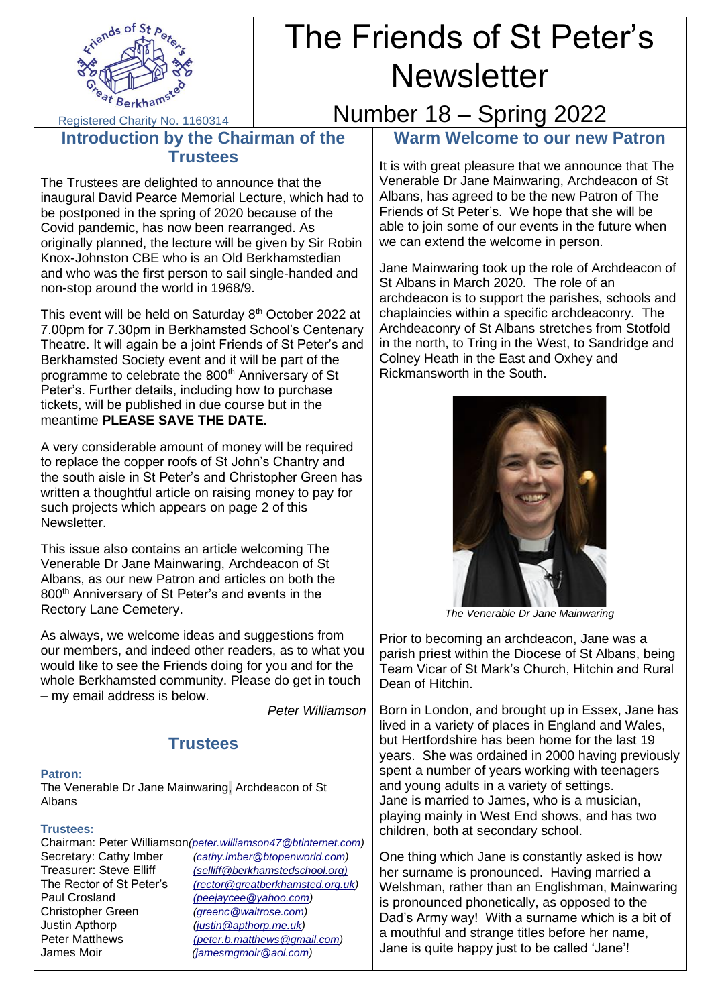

# The Friends of St Peter's **Newsletter**

Registered Charity No. 1160314

## Number 18 – Spring 2022

### **Introduction by the Chairman of the Trustees**

The Trustees are delighted to announce that the inaugural David Pearce Memorial Lecture, which had to be postponed in the spring of 2020 because of the Covid pandemic, has now been rearranged. As originally planned, the lecture will be given by Sir Robin Knox-Johnston CBE who is an Old Berkhamstedian and who was the first person to sail single-handed and non-stop around the world in 1968/9.

This event will be held on Saturday  $8<sup>th</sup>$  October 2022 at 7.00pm for 7.30pm in Berkhamsted School's Centenary Theatre. It will again be a joint Friends of St Peter's and Berkhamsted Society event and it will be part of the programme to celebrate the 800<sup>th</sup> Anniversary of St Peter's. Further details, including how to purchase tickets, will be published in due course but in the meantime **PLEASE SAVE THE DATE.**

A very considerable amount of money will be required to replace the copper roofs of St John's Chantry and the south aisle in St Peter's and Christopher Green has written a thoughtful article on raising money to pay for such projects which appears on page 2 of this Newsletter.

This issue also contains an article welcoming The Venerable Dr Jane Mainwaring, Archdeacon of St Albans, as our new Patron and articles on both the 800<sup>th</sup> Anniversary of St Peter's and events in the Rectory Lane Cemetery.

As always, we welcome ideas and suggestions from our members, and indeed other readers, as to what you would like to see the Friends doing for you and for the whole Berkhamsted community. Please do get in touch – my email address is below.

*Peter Williamson*

### **Trustees**

**Patron:** 

The Venerable Dr Jane Mainwaring, Archdeacon of St Albans

### **Trustees:**

Chairman: Peter Williamson*[\(peter.williamson47@btinternet.com\)](mailto:peter.williamson47@btinternet.com)* Secretary: Cathy Imber *[\(cathy.imber@btopenworld.com\)](mailto:cathy.imber@btopenworld.com)*<br>Treasurer: Steve Elliff *(selliff@berkhamstedschool.org)* Treasurer: Steve Elliff *[\(selliff@berkhamstedschool.org\)](mailto:selliff@berkhamstedschool.org)* The Rector of St Peter's *[\(rector@greatberkhamsted.org.uk\)](mailto:(rector@greatberkhamsted.org.uk)* Paul Crosland *[\(peejaycee@yahoo.com\)](mailto:(peejaycee@yahoo.com)* Christopher Green *[\(greenc@waitrose.com\)](mailto:greenc@waitrose.com)* Justin Apthorp *[\(justin@apthorp.me.uk\)](mailto:justin@apthorp.me.uk)* Peter Matthews *[\(peter.b.matthews@gmail.com\)](mailto:(peter.b.matthews@gmail.com)* James Moir *[\(jamesmgmoir@aol.com\)](mailto:jamesmgmoir@aol.com)*

**Warm Welcome to our new Patron**

It is with great pleasure that we announce that The Venerable Dr Jane Mainwaring, Archdeacon of St Albans, has agreed to be the new Patron of The Friends of St Peter's. We hope that she will be able to join some of our events in the future when we can extend the welcome in person.

Jane Mainwaring took up the role of Archdeacon of St Albans in March 2020. The role of an archdeacon is to support the parishes, schools and chaplaincies within a specific archdeaconry. The Archdeaconry of St Albans stretches from Stotfold in the north, to Tring in the West, to Sandridge and Colney Heath in the East and Oxhey and Rickmansworth in the South.



*The Venerable Dr Jane Mainwaring*

Prior to becoming an archdeacon, Jane was a parish priest within the Diocese of St Albans, being Team Vicar of St Mark's Church, Hitchin and Rural Dean of Hitchin.

Born in London, and brought up in Essex, Jane has lived in a variety of places in England and Wales, but Hertfordshire has been home for the last 19 years. She was ordained in 2000 having previously spent a number of years working with teenagers and young adults in a variety of settings. Jane is married to James, who is a musician, playing mainly in West End shows, and has two children, both at secondary school.

One thing which Jane is constantly asked is how her surname is pronounced. Having married a Welshman, rather than an Englishman, Mainwaring is pronounced phonetically, as opposed to the Dad's Army way! With a surname which is a bit of a mouthful and strange titles before her name, Jane is quite happy just to be called 'Jane'!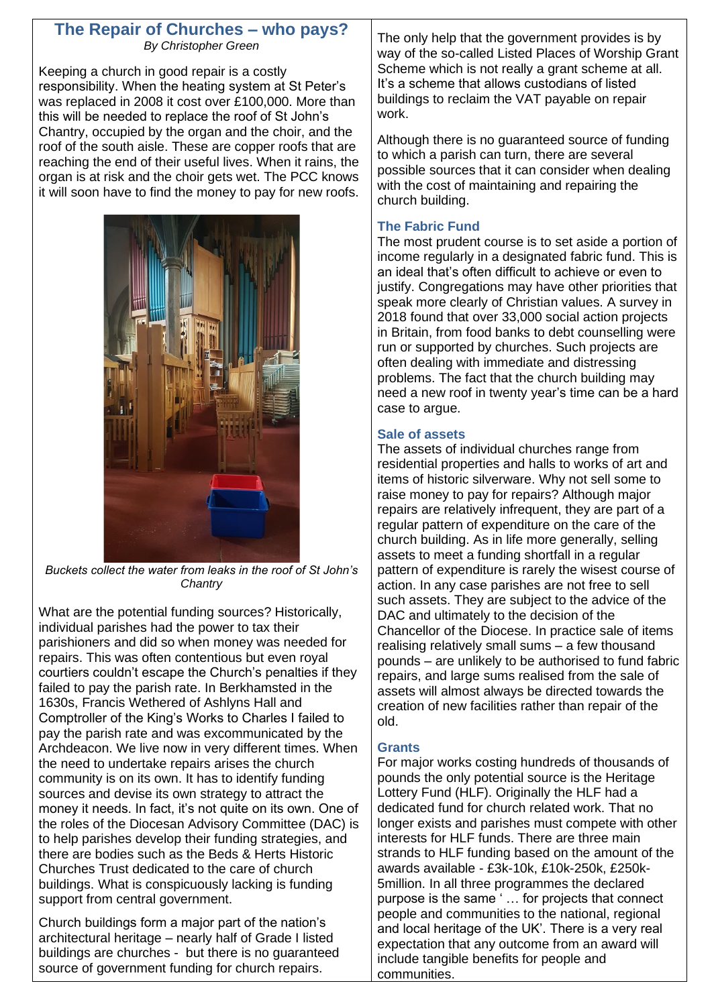### **The Repair of Churches – who pays?** *By Christopher Green*

Keeping a church in good repair is a costly responsibility. When the heating system at St Peter's was replaced in 2008 it cost over £100,000. More than this will be needed to replace the roof of St John's Chantry, occupied by the organ and the choir, and the roof of the south aisle. These are copper roofs that are reaching the end of their useful lives. When it rains, the organ is at risk and the choir gets wet. The PCC knows it will soon have to find the money to pay for new roofs.



*Buckets collect the water from leaks in the roof of St John's Chantry*

What are the potential funding sources? Historically, individual parishes had the power to tax their parishioners and did so when money was needed for repairs. This was often contentious but even royal courtiers couldn't escape the Church's penalties if they failed to pay the parish rate. In Berkhamsted in the 1630s, Francis Wethered of Ashlyns Hall and Comptroller of the King's Works to Charles I failed to pay the parish rate and was excommunicated by the Archdeacon. We live now in very different times. When the need to undertake repairs arises the church community is on its own. It has to identify funding sources and devise its own strategy to attract the money it needs. In fact, it's not quite on its own. One of the roles of the Diocesan Advisory Committee (DAC) is to help parishes develop their funding strategies, and there are bodies such as the Beds & Herts Historic Churches Trust dedicated to the care of church buildings. What is conspicuously lacking is funding support from central government.

Church buildings form a major part of the nation's architectural heritage – nearly half of Grade I listed buildings are churches - but there is no guaranteed source of government funding for church repairs.

The only help that the government provides is by way of the so-called Listed Places of Worship Grant Scheme which is not really a grant scheme at all. It's a scheme that allows custodians of listed buildings to reclaim the VAT payable on repair work.

Although there is no guaranteed source of funding to which a parish can turn, there are several possible sources that it can consider when dealing with the cost of maintaining and repairing the church building.

### **The Fabric Fund**

The most prudent course is to set aside a portion of income regularly in a designated fabric fund. This is an ideal that's often difficult to achieve or even to justify. Congregations may have other priorities that speak more clearly of Christian values. A survey in 2018 found that over 33,000 social action projects in Britain, from food banks to debt counselling were run or supported by churches. Such projects are often dealing with immediate and distressing problems. The fact that the church building may need a new roof in twenty year's time can be a hard case to argue.

### **Sale of assets**

The assets of individual churches range from residential properties and halls to works of art and items of historic silverware. Why not sell some to raise money to pay for repairs? Although major repairs are relatively infrequent, they are part of a regular pattern of expenditure on the care of the church building. As in life more generally, selling assets to meet a funding shortfall in a regular pattern of expenditure is rarely the wisest course of action. In any case parishes are not free to sell such assets. They are subject to the advice of the DAC and ultimately to the decision of the Chancellor of the Diocese. In practice sale of items realising relatively small sums – a few thousand pounds – are unlikely to be authorised to fund fabric repairs, and large sums realised from the sale of assets will almost always be directed towards the creation of new facilities rather than repair of the old.

### **Grants**

For major works costing hundreds of thousands of pounds the only potential source is the Heritage Lottery Fund (HLF). Originally the HLF had a dedicated fund for church related work. That no longer exists and parishes must compete with other interests for HLF funds. There are three main strands to HLF funding based on the amount of the awards available - £3k-10k, £10k-250k, £250k-5million. In all three programmes the declared purpose is the same ' … for projects that connect people and communities to the national, regional and local heritage of the UK'. There is a very real expectation that any outcome from an award will include tangible benefits for people and communities.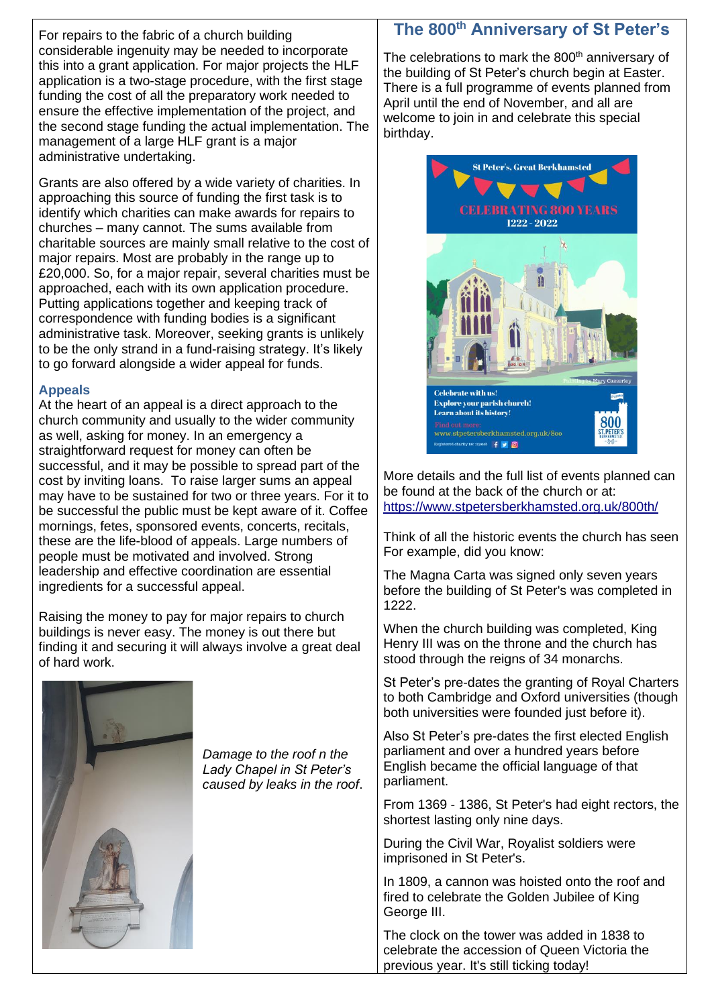For repairs to the fabric of a church building considerable ingenuity may be needed to incorporate this into a grant application. For major projects the HLF application is a two-stage procedure, with the first stage funding the cost of all the preparatory work needed to ensure the effective implementation of the project, and the second stage funding the actual implementation. The management of a large HLF grant is a major administrative undertaking.

Grants are also offered by a wide variety of charities. In approaching this source of funding the first task is to identify which charities can make awards for repairs to churches – many cannot. The sums available from charitable sources are mainly small relative to the cost of major repairs. Most are probably in the range up to £20,000. So, for a major repair, several charities must be approached, each with its own application procedure. Putting applications together and keeping track of correspondence with funding bodies is a significant administrative task. Moreover, seeking grants is unlikely to be the only strand in a fund-raising strategy. It's likely to go forward alongside a wider appeal for funds.

### **Appeals**

At the heart of an appeal is a direct approach to the church community and usually to the wider community as well, asking for money. In an emergency a straightforward request for money can often be successful, and it may be possible to spread part of the cost by inviting loans. To raise larger sums an appeal may have to be sustained for two or three years. For it to be successful the public must be kept aware of it. Coffee mornings, fetes, sponsored events, concerts, recitals, these are the life-blood of appeals. Large numbers of people must be motivated and involved. Strong leadership and effective coordination are essential ingredients for a successful appeal.

Raising the money to pay for major repairs to church buildings is never easy. The money is out there but finding it and securing it will always involve a great deal of hard work.



*Damage to the roof n the Lady Chapel in St Peter's caused by leaks in the roof*.

### **The 800th Anniversary of St Peter's**

The celebrations to mark the 800<sup>th</sup> anniversary of the building of St Peter's church begin at Easter. There is a full programme of events planned from April until the end of November, and all are welcome to join in and celebrate this special birthday.



More details and the full list of events planned can be found at the back of the church or at: <https://www.stpetersberkhamsted.org.uk/800th/>

Think of all the historic events the church has seen For example, did you know:

The Magna Carta was signed only seven years before the building of St Peter's was completed in 1222.

When the church building was completed, King Henry III was on the throne and the church has stood through the reigns of 34 monarchs.

St Peter's pre-dates the granting of Royal Charters to both Cambridge and Oxford universities (though both universities were founded just before it).

Also St Peter's pre-dates the first elected English parliament and over a hundred years before English became the official language of that parliament.

From 1369 - 1386, St Peter's had eight rectors, the shortest lasting only nine days.

During the Civil War, Royalist soldiers were imprisoned in St Peter's.

In 1809, a cannon was hoisted onto the roof and fired to celebrate the Golden Jubilee of King George III.

The clock on the tower was added in 1838 to celebrate the accession of Queen Victoria the previous year. It's still ticking today!